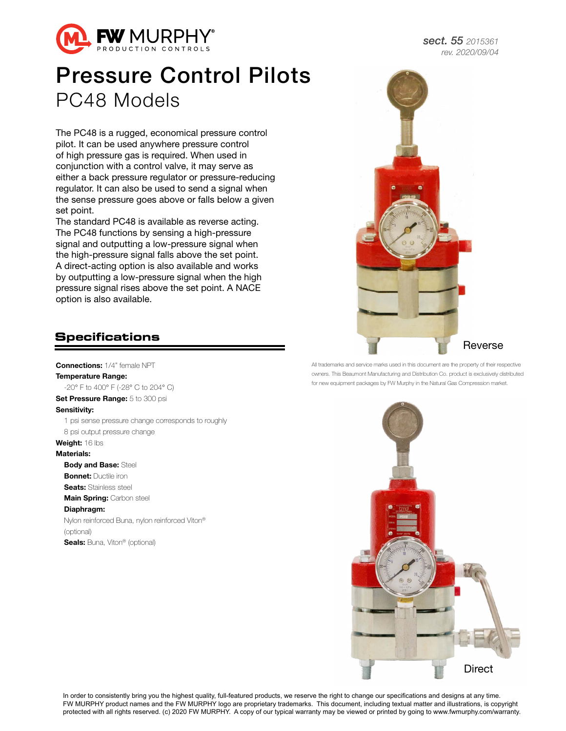

## Pressure Control Pilots PC48 Models

The PC48 is a rugged, economical pressure control pilot. It can be used anywhere pressure control of high pressure gas is required. When used in conjunction with a control valve, it may serve as either a back pressure regulator or pressure-reducing regulator. It can also be used to send a signal when the sense pressure goes above or falls below a given set point.

The standard PC48 is available as reverse acting. The PC48 functions by sensing a high-pressure signal and outputting a low-pressure signal when the high-pressure signal falls above the set point. A direct-acting option is also available and works by outputting a low-pressure signal when the high pressure signal rises above the set point. A NACE option is also available.

## **Specifications**

Connections: 1/4" female NPT Temperature Range: -20° F to 400° F (-28° C to 204° C) Set Pressure Range: 5 to 300 psi Sensitivity: 1 psi sense pressure change corresponds to roughly 8 psi output pressure change Weight: 16 lbs Materials: **Body and Base: Steel Bonnet: Ductile iron Seats: Stainless steel** Main Spring: Carbon steel Diaphragm: Nylon reinforced Buna, nylon reinforced Viton® (optional) Seals: Buna, Viton® (optional)



All trademarks and service marks used in this document are the property of their respective owners. This Beaumont Manufacturing and Distribution Co. product is exclusively distributed for new equipment packages by FW Murphy in the Natural Gas Compression market.